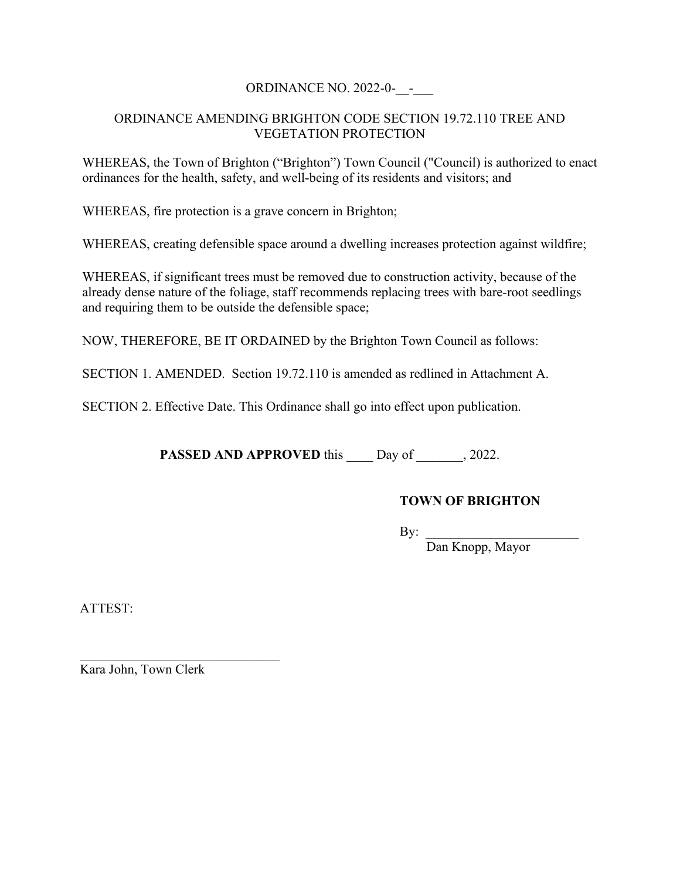## ORDINANCE NO. 2022-0-\_\_-\_\_\_

## ORDINANCE AMENDING BRIGHTON CODE SECTION 19.72.110 TREE AND VEGETATION PROTECTION

WHEREAS, the Town of Brighton ("Brighton") Town Council ("Council) is authorized to enact ordinances for the health, safety, and well-being of its residents and visitors; and

WHEREAS, fire protection is a grave concern in Brighton;

WHEREAS, creating defensible space around a dwelling increases protection against wildfire;

WHEREAS, if significant trees must be removed due to construction activity, because of the already dense nature of the foliage, staff recommends replacing trees with bare-root seedlings and requiring them to be outside the defensible space;

NOW, THEREFORE, BE IT ORDAINED by the Brighton Town Council as follows:

SECTION 1. AMENDED. Section 19.72.110 is amended as redlined in Attachment A.

SECTION 2. Effective Date. This Ordinance shall go into effect upon publication.

PASSED AND APPROVED this Day of 3022.

## **TOWN OF BRIGHTON**

 $\mathbf{By:}$ 

Dan Knopp, Mayor

ATTEST:

Kara John, Town Clerk

\_\_\_\_\_\_\_\_\_\_\_\_\_\_\_\_\_\_\_\_\_\_\_\_\_\_\_\_\_\_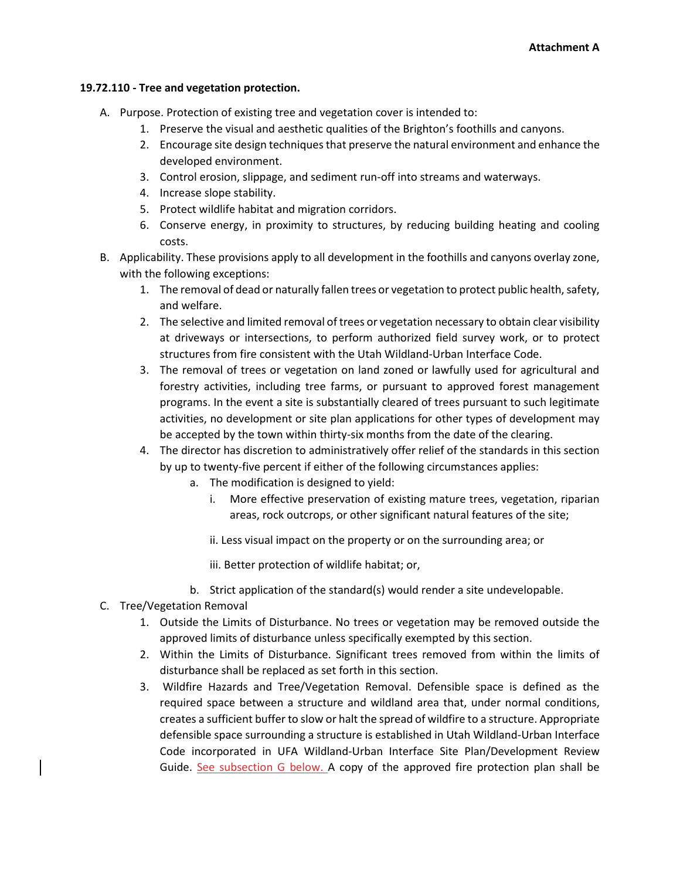## **19.72.110 - Tree and vegetation protection.**

- A. Purpose. Protection of existing tree and vegetation cover is intended to:
	- 1. Preserve the visual and aesthetic qualities of the Brighton's foothills and canyons.
	- 2. Encourage site design techniques that preserve the natural environment and enhance the developed environment.
	- 3. Control erosion, slippage, and sediment run-off into streams and waterways.
	- 4. Increase slope stability.
	- 5. Protect wildlife habitat and migration corridors.
	- 6. Conserve energy, in proximity to structures, by reducing building heating and cooling costs.
- B. Applicability. These provisions apply to all development in the foothills and canyons overlay zone, with the following exceptions:
	- 1. The removal of dead or naturally fallen trees or vegetation to protect public health, safety, and welfare.
	- 2. The selective and limited removal of trees or vegetation necessary to obtain clear visibility at driveways or intersections, to perform authorized field survey work, or to protect structures from fire consistent with the Utah Wildland-Urban Interface Code.
	- 3. The removal of trees or vegetation on land zoned or lawfully used for agricultural and forestry activities, including tree farms, or pursuant to approved forest management programs. In the event a site is substantially cleared of trees pursuant to such legitimate activities, no development or site plan applications for other types of development may be accepted by the town within thirty-six months from the date of the clearing.
	- 4. The director has discretion to administratively offer relief of the standards in this section by up to twenty-five percent if either of the following circumstances applies:
		- a. The modification is designed to yield:
			- i. More effective preservation of existing mature trees, vegetation, riparian areas, rock outcrops, or other significant natural features of the site;
			- ii. Less visual impact on the property or on the surrounding area; or
			- iii. Better protection of wildlife habitat; or,
		- b. Strict application of the standard(s) would render a site undevelopable.
- C. Tree/Vegetation Removal
	- 1. Outside the Limits of Disturbance. No trees or vegetation may be removed outside the approved limits of disturbance unless specifically exempted by this section.
	- 2. Within the Limits of Disturbance. Significant trees removed from within the limits of disturbance shall be replaced as set forth in this section.
	- 3. Wildfire Hazards and Tree/Vegetation Removal. Defensible space is defined as the required space between a structure and wildland area that, under normal conditions, creates a sufficient buffer to slow or halt the spread of wildfire to a structure. Appropriate defensible space surrounding a structure is established in Utah Wildland-Urban Interface Code incorporated in UFA Wildland-Urban Interface Site Plan/Development Review Guide. See subsection G below. A copy of the approved fire protection plan shall be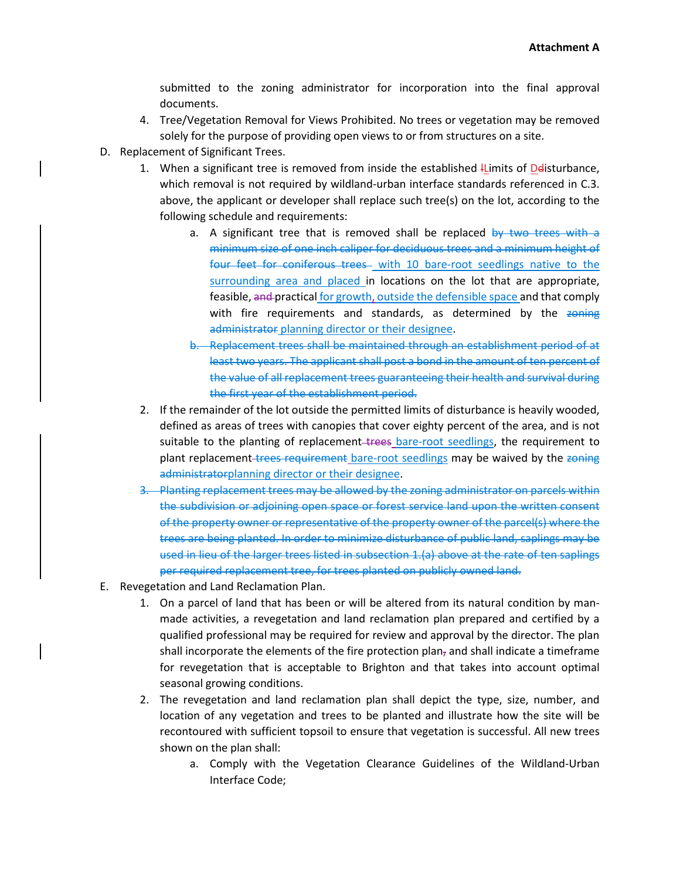submitted to the zoning administrator for incorporation into the final approval documents.

- 4. Tree/Vegetation Removal for Views Prohibited. No trees or vegetation may be removed solely for the purpose of providing open views to or from structures on a site.
- D. Replacement of Significant Trees.
	- 1. When a significant tree is removed from inside the established  $\mu$  limits of Delisturbance, which removal is not required by wildland-urban interface standards referenced in C.3. above, the applicant or developer shall replace such tree(s) on the lot, according to the following schedule and requirements:
		- a. A significant tree that is removed shall be replaced by two trees with a minimum size of one inch caliper for deciduous trees and a minimum height of four feet for coniferous trees with 10 bare-root seedlings native to the surrounding area and placed in locations on the lot that are appropriate, feasible, and practical for growth, outside the defensible space and that comply with fire requirements and standards, as determined by the zoning administrator planning director or their designee.
		- b. Replacement trees shall be maintained through an establishment period of at least two years. The applicant shall post a bond in the amount of ten percent of the value of all replacement trees guaranteeing their health and survival during the first year of the establishment period.
	- 2. If the remainder of the lot outside the permitted limits of disturbance is heavily wooded, defined as areas of trees with canopies that cover eighty percent of the area, and is not suitable to the planting of replacement-trees bare-root seedlings, the requirement to plant replacement-trees requirement bare-root seedlings may be waived by the zoning administratorplanning director or their designee.
	- 3. Planting replacement trees may be allowed by the zoning administrator on parcels within the subdivision or adjoining open space or forest service land upon the written consent of the property owner or representative of the property owner of the parcel(s) where the trees are being planted. In order to minimize disturbance of public land, saplings may be used in lieu of the larger trees listed in subsection 1.(a) above at the rate of ten saplings per required replacement tree, for trees planted on publicly owned land.
- E. Revegetation and Land Reclamation Plan.
	- 1. On a parcel of land that has been or will be altered from its natural condition by manmade activities, a revegetation and land reclamation plan prepared and certified by a qualified professional may be required for review and approval by the director. The plan shall incorporate the elements of the fire protection plan, and shall indicate a timeframe for revegetation that is acceptable to Brighton and that takes into account optimal seasonal growing conditions.
	- 2. The revegetation and land reclamation plan shall depict the type, size, number, and location of any vegetation and trees to be planted and illustrate how the site will be recontoured with sufficient topsoil to ensure that vegetation is successful. All new trees shown on the plan shall:
		- a. Comply with the Vegetation Clearance Guidelines of the Wildland-Urban Interface Code;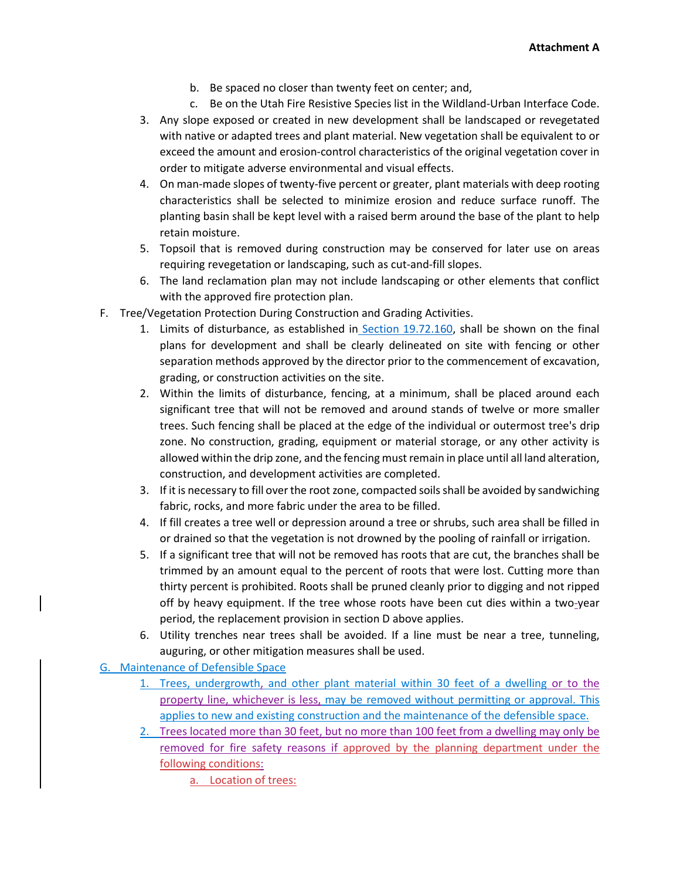- b. Be spaced no closer than twenty feet on center; and,
- c. Be on the Utah Fire Resistive Species list in the Wildland-Urban Interface Code.
- 3. Any slope exposed or created in new development shall be landscaped or revegetated with native or adapted trees and plant material. New vegetation shall be equivalent to or exceed the amount and erosion-control characteristics of the original vegetation cover in order to mitigate adverse environmental and visual effects.
- 4. On man-made slopes of twenty-five percent or greater, plant materials with deep rooting characteristics shall be selected to minimize erosion and reduce surface runoff. The planting basin shall be kept level with a raised berm around the base of the plant to help retain moisture.
- 5. Topsoil that is removed during construction may be conserved for later use on areas requiring revegetation or landscaping, such as cut-and-fill slopes.
- 6. The land reclamation plan may not include landscaping or other elements that conflict with the approved fire protection plan.
- F. Tree/Vegetation Protection During Construction and Grading Activities.
	- 1. Limits of disturbance, as established in [Section 19.72.160,](https://library.municode.com/ut/salt_lake_county/codes/code_of_ordinances?nodeId=TIT19ZO_CH19.72FOCAOVZOFC_19.72.160LIDI) shall be shown on the final plans for development and shall be clearly delineated on site with fencing or other separation methods approved by the director prior to the commencement of excavation, grading, or construction activities on the site.
	- 2. Within the limits of disturbance, fencing, at a minimum, shall be placed around each significant tree that will not be removed and around stands of twelve or more smaller trees. Such fencing shall be placed at the edge of the individual or outermost tree's drip zone. No construction, grading, equipment or material storage, or any other activity is allowed within the drip zone, and the fencing must remain in place until all land alteration, construction, and development activities are completed.
	- 3. If it is necessary to fill over the root zone, compacted soils shall be avoided by sandwiching fabric, rocks, and more fabric under the area to be filled.
	- 4. If fill creates a tree well or depression around a tree or shrubs, such area shall be filled in or drained so that the vegetation is not drowned by the pooling of rainfall or irrigation.
	- 5. If a significant tree that will not be removed has roots that are cut, the branches shall be trimmed by an amount equal to the percent of roots that were lost. Cutting more than thirty percent is prohibited. Roots shall be pruned cleanly prior to digging and not ripped off by heavy equipment. If the tree whose roots have been cut dies within a two-year period, the replacement provision in section D above applies.
	- 6. Utility trenches near trees shall be avoided. If a line must be near a tree, tunneling, auguring, or other mitigation measures shall be used.

G. Maintenance of Defensible Space

- 1. Trees, undergrowth, and other plant material within 30 feet of a dwelling or to the property line, whichever is less, may be removed without permitting or approval. This applies to new and existing construction and the maintenance of the defensible space.
- 2. Trees located more than 30 feet, but no more than 100 feet from a dwelling may only be removed for fire safety reasons if approved by the planning department under the following conditions:

a. Location of trees: